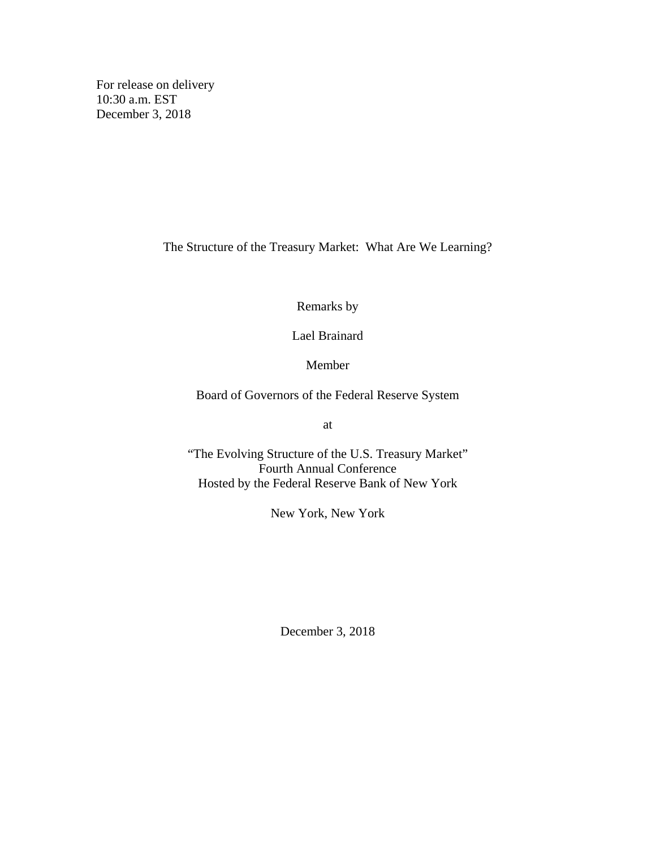For release on delivery 10:30 a.m. EST December 3, 2018

The Structure of the Treasury Market: What Are We Learning?

Remarks by

Lael Brainard

Member

Board of Governors of the Federal Reserve System

at

"The Evolving Structure of the U.S. Treasury Market" Fourth Annual Conference Hosted by the Federal Reserve Bank of New York

New York, New York

December 3, 2018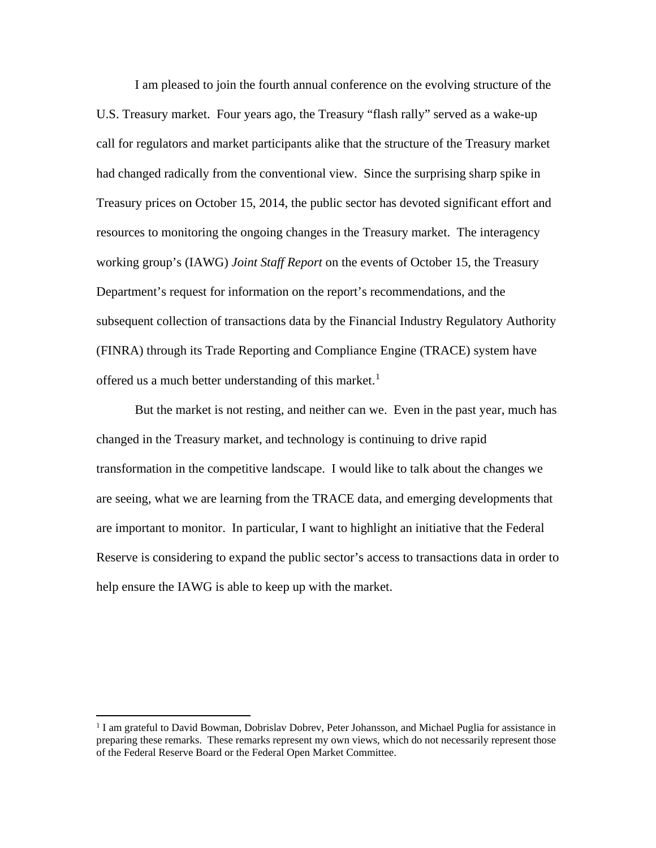I am pleased to join the fourth annual conference on the evolving structure of the U.S. Treasury market. Four years ago, the Treasury "flash rally" served as a wake-up call for regulators and market participants alike that the structure of the Treasury market had changed radically from the conventional view. Since the surprising sharp spike in Treasury prices on October 15, 2014, the public sector has devoted significant effort and resources to monitoring the ongoing changes in the Treasury market. The interagency working group's (IAWG) *Joint Staff Report* on the events of October 15, the Treasury Department's request for information on the report's recommendations, and the subsequent collection of transactions data by the Financial Industry Regulatory Authority (FINRA) through its Trade Reporting and Compliance Engine (TRACE) system have offered us a much better understanding of this market.<sup>[1](#page-1-0)</sup>

But the market is not resting, and neither can we. Even in the past year, much has changed in the Treasury market, and technology is continuing to drive rapid transformation in the competitive landscape. I would like to talk about the changes we are seeing, what we are learning from the TRACE data, and emerging developments that are important to monitor. In particular, I want to highlight an initiative that the Federal Reserve is considering to expand the public sector's access to transactions data in order to help ensure the IAWG is able to keep up with the market.

<span id="page-1-0"></span><sup>&</sup>lt;sup>1</sup> I am grateful to David Bowman, Dobrislav Dobrev, Peter Johansson, and Michael Puglia for assistance in preparing these remarks. These remarks represent my own views, which do not necessarily represent those of the Federal Reserve Board or the Federal Open Market Committee.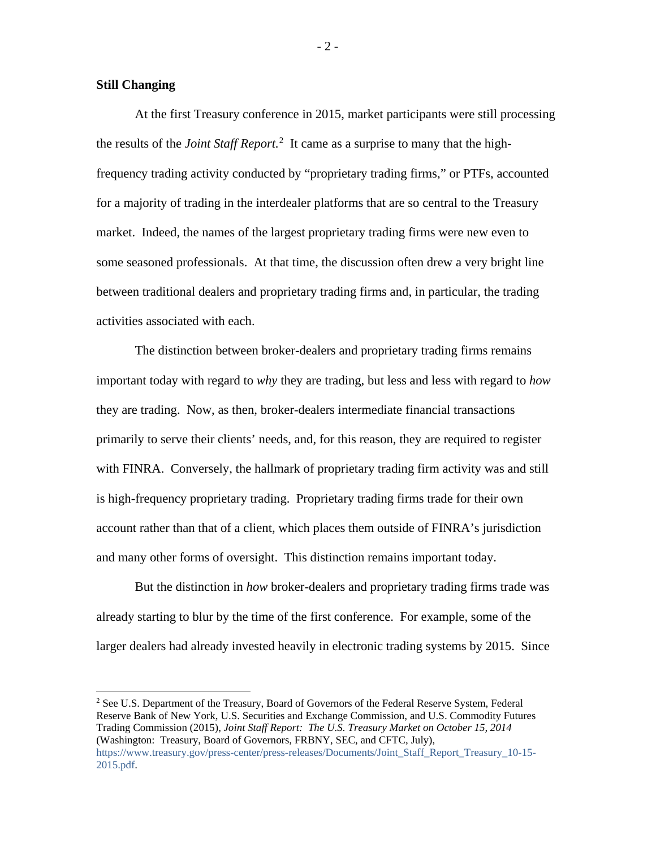#### **Still Changing**

At the first Treasury conference in 2015, market participants were still processing the results of the *Joint Staff Report.*[2](#page-2-0) It came as a surprise to many that the highfrequency trading activity conducted by "proprietary trading firms," or PTFs, accounted for a majority of trading in the interdealer platforms that are so central to the Treasury market. Indeed, the names of the largest proprietary trading firms were new even to some seasoned professionals. At that time, the discussion often drew a very bright line between traditional dealers and proprietary trading firms and, in particular, the trading activities associated with each.

The distinction between broker-dealers and proprietary trading firms remains important today with regard to *why* they are trading, but less and less with regard to *how*  they are trading. Now, as then, broker-dealers intermediate financial transactions primarily to serve their clients' needs, and, for this reason, they are required to register with FINRA. Conversely, the hallmark of proprietary trading firm activity was and still is high-frequency proprietary trading. Proprietary trading firms trade for their own account rather than that of a client, which places them outside of FINRA's jurisdiction and many other forms of oversight. This distinction remains important today.

But the distinction in *how* broker-dealers and proprietary trading firms trade was already starting to blur by the time of the first conference. For example, some of the larger dealers had already invested heavily in electronic trading systems by 2015. Since

<span id="page-2-0"></span><sup>2</sup> See U.S. Department of the Treasury, Board of Governors of the Federal Reserve System, Federal Reserve Bank of New York, U.S. Securities and Exchange Commission, and U.S. Commodity Futures Trading Commission (2015), *Joint Staff Report: The U.S. Treasury Market on October 15, 2014* (Washington: Treasury, Board of Governors, FRBNY, SEC, and CFTC, July), [https://www.treasury.gov/press-center/press-releases/Documents/Joint\\_Staff\\_Report\\_Treasury\\_10-15-](https://www.treasury.gov/press-center/press-releases/Documents/Joint_Staff_Report_Treasury_10-15-2015.pdf) [2015.pdf.](https://www.treasury.gov/press-center/press-releases/Documents/Joint_Staff_Report_Treasury_10-15-2015.pdf)

 $-2-$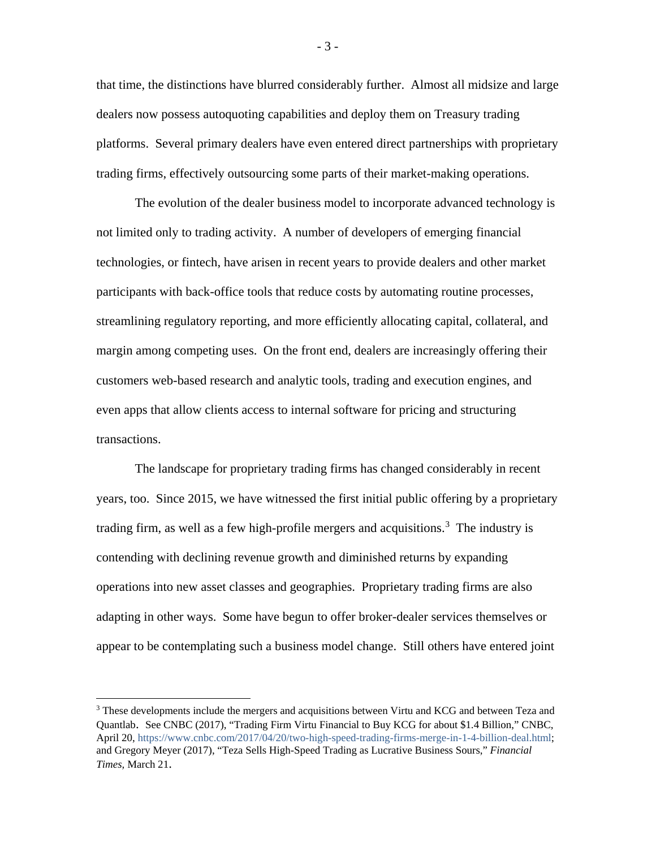that time, the distinctions have blurred considerably further. Almost all midsize and large dealers now possess autoquoting capabilities and deploy them on Treasury trading platforms. Several primary dealers have even entered direct partnerships with proprietary trading firms, effectively outsourcing some parts of their market-making operations.

The evolution of the dealer business model to incorporate advanced technology is not limited only to trading activity. A number of developers of emerging financial technologies, or fintech, have arisen in recent years to provide dealers and other market participants with back-office tools that reduce costs by automating routine processes, streamlining regulatory reporting, and more efficiently allocating capital, collateral, and margin among competing uses. On the front end, dealers are increasingly offering their customers web-based research and analytic tools, trading and execution engines, and even apps that allow clients access to internal software for pricing and structuring transactions.

The landscape for proprietary trading firms has changed considerably in recent years, too. Since 2015, we have witnessed the first initial public offering by a proprietary trading firm, as well as a few high-profile mergers and acquisitions.<sup>[3](#page-3-0)</sup> The industry is contending with declining revenue growth and diminished returns by expanding operations into new asset classes and geographies. Proprietary trading firms are also adapting in other ways. Some have begun to offer broker-dealer services themselves or appear to be contemplating such a business model change. Still others have entered joint

- 3 -

<span id="page-3-0"></span><sup>&</sup>lt;sup>3</sup> These developments include the mergers and acquisitions between Virtu and KCG and between Teza and Quantlab. See CNBC (2017), "Trading Firm Virtu Financial to Buy KCG for about \$1.4 Billion," CNBC, April 20[, https://www.cnbc.com/2017/04/20/two-high-speed-trading-firms-merge-in-1-4-billion-deal.html;](https://www.cnbc.com/2017/04/20/two-high-speed-trading-firms-merge-in-1-4-billion-deal.html) and Gregory Meyer (2017), "Teza Sells High-Speed Trading as Lucrative Business Sours," *Financial Times,* March 21.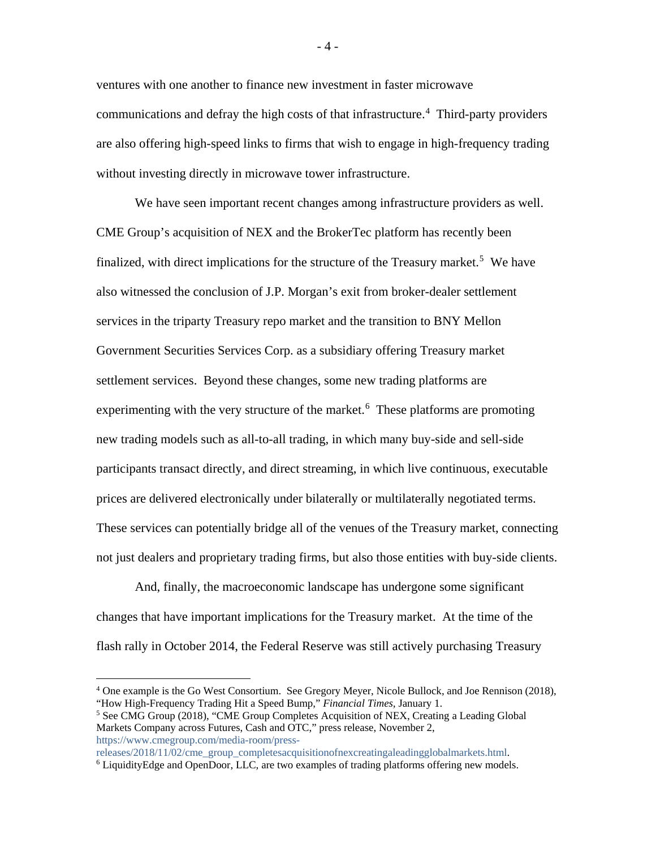ventures with one another to finance new investment in faster microwave communications and defray the high costs of that infrastructure.<sup>[4](#page-4-0)</sup> Third-party providers are also offering high-speed links to firms that wish to engage in high-frequency trading without investing directly in microwave tower infrastructure.

We have seen important recent changes among infrastructure providers as well. CME Group's acquisition of NEX and the BrokerTec platform has recently been finalized, with direct implications for the structure of the Treasury market.<sup>[5](#page-4-1)</sup> We have also witnessed the conclusion of J.P. Morgan's exit from broker-dealer settlement services in the triparty Treasury repo market and the transition to BNY Mellon Government Securities Services Corp. as a subsidiary offering Treasury market settlement services. Beyond these changes, some new trading platforms are experimenting with the very structure of the market.<sup>[6](#page-4-2)</sup> These platforms are promoting new trading models such as all-to-all trading, in which many buy-side and sell-side participants transact directly, and direct streaming, in which live continuous, executable prices are delivered electronically under bilaterally or multilaterally negotiated terms. These services can potentially bridge all of the venues of the Treasury market, connecting not just dealers and proprietary trading firms, but also those entities with buy-side clients.

And, finally, the macroeconomic landscape has undergone some significant changes that have important implications for the Treasury market. At the time of the flash rally in October 2014, the Federal Reserve was still actively purchasing Treasury

<span id="page-4-0"></span> <sup>4</sup> One example is the Go West Consortium. See Gregory Meyer, Nicole Bullock, and Joe Rennison (2018), "How High-Frequency Trading Hit a Speed Bump," *Financial Times,* January 1.

<span id="page-4-1"></span><sup>&</sup>lt;sup>5</sup> See CMG Group (2018), "CME Group Completes Acquisition of NEX, Creating a Leading Global Markets Company across Futures, Cash and OTC," press release, November 2, [https://www.cmegroup.com/media-room/press-](https://www.cmegroup.com/media-room/press-releases/2018/11/02/cme_group_completesacquisitionofnexcreatingaleadingglobalmarkets.html)

[releases/2018/11/02/cme\\_group\\_completesacquisitionofnexcreatingaleadingglobalmarkets.html.](https://www.cmegroup.com/media-room/press-releases/2018/11/02/cme_group_completesacquisitionofnexcreatingaleadingglobalmarkets.html)

<span id="page-4-2"></span><sup>&</sup>lt;sup>6</sup> LiquidityEdge and OpenDoor, LLC, are two examples of trading platforms offering new models.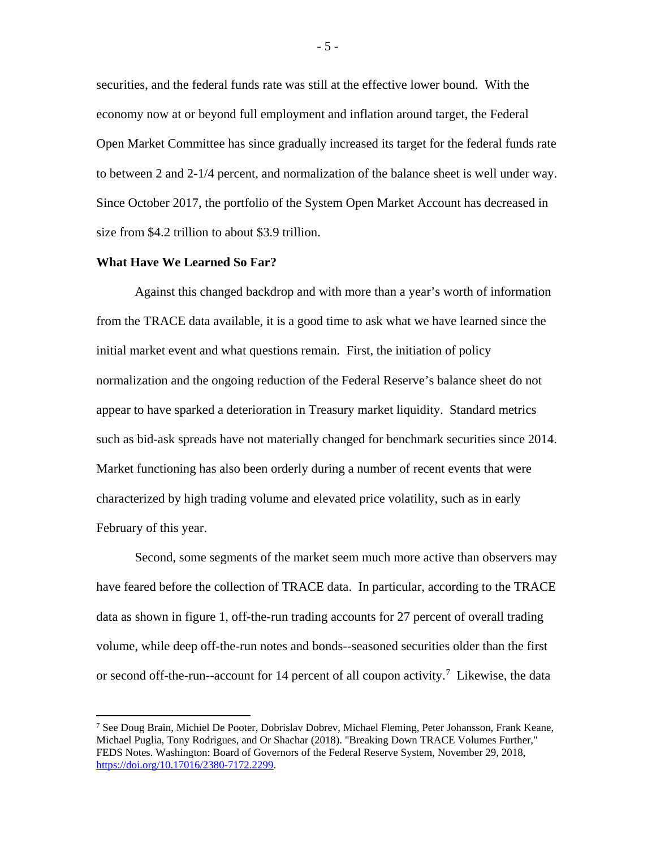securities, and the federal funds rate was still at the effective lower bound. With the economy now at or beyond full employment and inflation around target, the Federal Open Market Committee has since gradually increased its target for the federal funds rate to between 2 and 2-1/4 percent, and normalization of the balance sheet is well under way. Since October 2017, the portfolio of the System Open Market Account has decreased in size from \$4.2 trillion to about \$3.9 trillion.

#### **What Have We Learned So Far?**

Against this changed backdrop and with more than a year's worth of information from the TRACE data available, it is a good time to ask what we have learned since the initial market event and what questions remain. First, the initiation of policy normalization and the ongoing reduction of the Federal Reserve's balance sheet do not appear to have sparked a deterioration in Treasury market liquidity. Standard metrics such as bid-ask spreads have not materially changed for benchmark securities since 2014. Market functioning has also been orderly during a number of recent events that were characterized by high trading volume and elevated price volatility, such as in early February of this year.

Second, some segments of the market seem much more active than observers may have feared before the collection of TRACE data. In particular, according to the TRACE data as shown in figure 1, off-the-run trading accounts for 27 percent of overall trading volume, while deep off-the-run notes and bonds--seasoned securities older than the first or second off-the-run--account for 14 percent of all coupon activity.<sup>[7](#page-5-0)</sup> Likewise, the data

<span id="page-5-0"></span> <sup>7</sup> See Doug Brain, Michiel De Pooter, Dobrislav Dobrev, Michael Fleming, Peter Johansson, Frank Keane, Michael Puglia, Tony Rodrigues, and Or Shachar (2018). "Breaking Down TRACE Volumes Further," FEDS Notes. Washington: Board of Governors of the Federal Reserve System, November 29, 2018, [https://doi.org/10.17016/2380-7172.2299.](https://doi.org/10.17016/2380-7172.2299)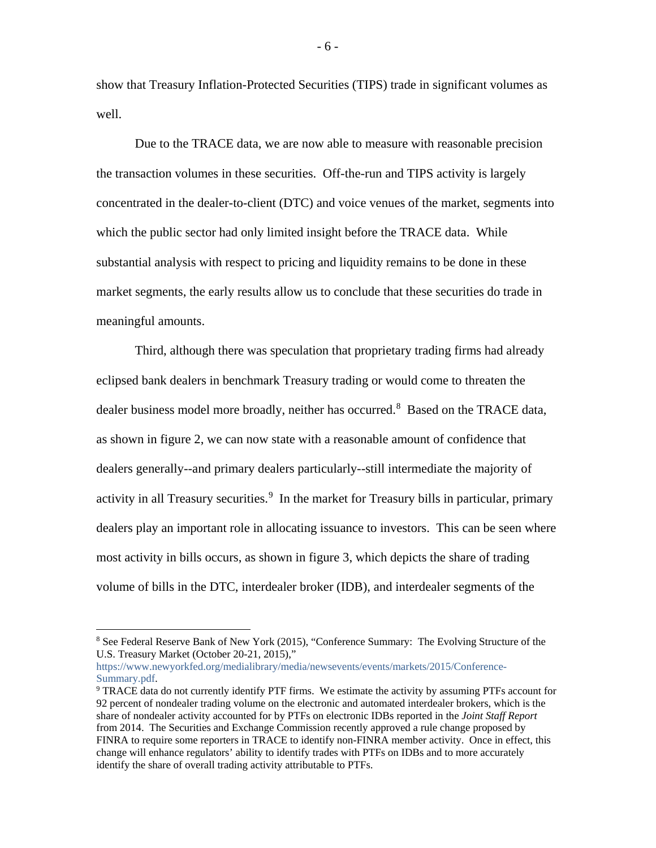show that Treasury Inflation-Protected Securities (TIPS) trade in significant volumes as well.

Due to the TRACE data, we are now able to measure with reasonable precision the transaction volumes in these securities. Off-the-run and TIPS activity is largely concentrated in the dealer-to-client (DTC) and voice venues of the market, segments into which the public sector had only limited insight before the TRACE data. While substantial analysis with respect to pricing and liquidity remains to be done in these market segments, the early results allow us to conclude that these securities do trade in meaningful amounts.

Third, although there was speculation that proprietary trading firms had already eclipsed bank dealers in benchmark Treasury trading or would come to threaten the dealer business model more broadly, neither has occurred.<sup>[8](#page-6-0)</sup> Based on the TRACE data, as shown in figure 2, we can now state with a reasonable amount of confidence that dealers generally--and primary dealers particularly--still intermediate the majority of activity in all Treasury securities.<sup>[9](#page-6-1)</sup> In the market for Treasury bills in particular, primary dealers play an important role in allocating issuance to investors. This can be seen where most activity in bills occurs, as shown in figure 3, which depicts the share of trading volume of bills in the DTC, interdealer broker (IDB), and interdealer segments of the

- 6 -

<span id="page-6-0"></span> <sup>8</sup> See Federal Reserve Bank of New York (2015), "Conference Summary: The Evolving Structure of the U.S. Treasury Market (October 20-21, 2015),"

[https://www.newyorkfed.org/medialibrary/media/newsevents/events/markets/2015/Conference-](https://www.newyorkfed.org/medialibrary/media/newsevents/events/markets/2015/Conference-Summary.pdf)[Summary.pdf.](https://www.newyorkfed.org/medialibrary/media/newsevents/events/markets/2015/Conference-Summary.pdf)

<span id="page-6-1"></span><sup>9</sup> TRACE data do not currently identify PTF firms. We estimate the activity by assuming PTFs account for 92 percent of nondealer trading volume on the electronic and automated interdealer brokers, which is the share of nondealer activity accounted for by PTFs on electronic IDBs reported in the *Joint Staff Report* from 2014. The Securities and Exchange Commission recently approved a rule change proposed by FINRA to require some reporters in TRACE to identify non-FINRA member activity. Once in effect, this change will enhance regulators' ability to identify trades with PTFs on IDBs and to more accurately identify the share of overall trading activity attributable to PTFs.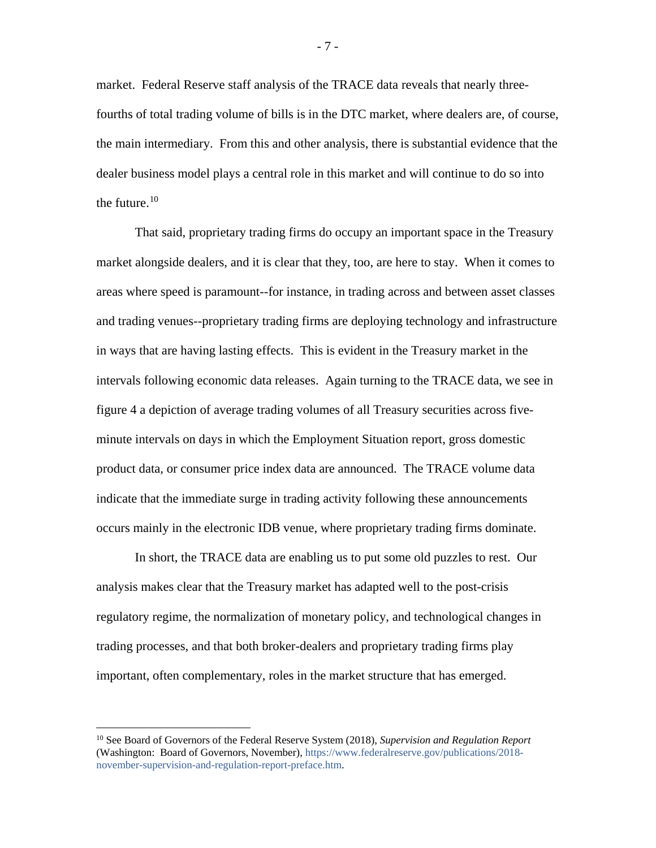market. Federal Reserve staff analysis of the TRACE data reveals that nearly threefourths of total trading volume of bills is in the DTC market, where dealers are, of course, the main intermediary. From this and other analysis, there is substantial evidence that the dealer business model plays a central role in this market and will continue to do so into the future.<sup>[10](#page-7-0)</sup>

That said, proprietary trading firms do occupy an important space in the Treasury market alongside dealers, and it is clear that they, too, are here to stay. When it comes to areas where speed is paramount--for instance, in trading across and between asset classes and trading venues--proprietary trading firms are deploying technology and infrastructure in ways that are having lasting effects. This is evident in the Treasury market in the intervals following economic data releases. Again turning to the TRACE data, we see in figure 4 a depiction of average trading volumes of all Treasury securities across fiveminute intervals on days in which the Employment Situation report, gross domestic product data, or consumer price index data are announced. The TRACE volume data indicate that the immediate surge in trading activity following these announcements occurs mainly in the electronic IDB venue, where proprietary trading firms dominate.

In short, the TRACE data are enabling us to put some old puzzles to rest. Our analysis makes clear that the Treasury market has adapted well to the post-crisis regulatory regime, the normalization of monetary policy, and technological changes in trading processes, and that both broker-dealers and proprietary trading firms play important, often complementary, roles in the market structure that has emerged.

- 7 -

<span id="page-7-0"></span> <sup>10</sup> See Board of Governors of the Federal Reserve System (2018), *Supervision and Regulation Report* (Washington: Board of Governors, November), [https://www.federalreserve.gov/publications/2018](https://www.federalreserve.gov/publications/2018-november-supervision-and-regulation-report-preface.htm) [november-supervision-and-regulation-report-preface.htm.](https://www.federalreserve.gov/publications/2018-november-supervision-and-regulation-report-preface.htm)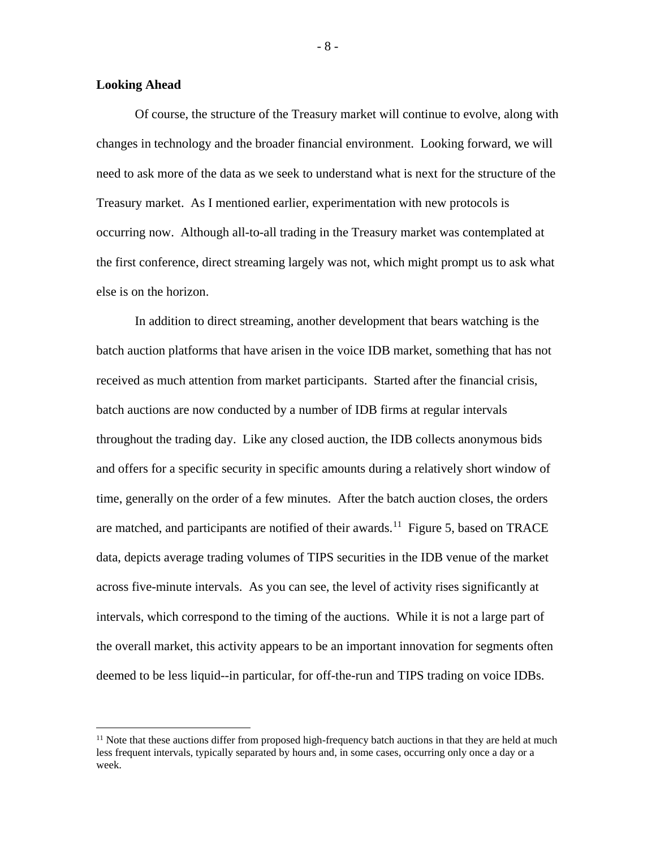#### **Looking Ahead**

Of course, the structure of the Treasury market will continue to evolve, along with changes in technology and the broader financial environment. Looking forward, we will need to ask more of the data as we seek to understand what is next for the structure of the Treasury market. As I mentioned earlier, experimentation with new protocols is occurring now. Although all-to-all trading in the Treasury market was contemplated at the first conference, direct streaming largely was not, which might prompt us to ask what else is on the horizon.

In addition to direct streaming, another development that bears watching is the batch auction platforms that have arisen in the voice IDB market, something that has not received as much attention from market participants. Started after the financial crisis, batch auctions are now conducted by a number of IDB firms at regular intervals throughout the trading day. Like any closed auction, the IDB collects anonymous bids and offers for a specific security in specific amounts during a relatively short window of time, generally on the order of a few minutes. After the batch auction closes, the orders are matched, and participants are notified of their awards.<sup>[11](#page-8-0)</sup> Figure 5, based on TRACE data, depicts average trading volumes of TIPS securities in the IDB venue of the market across five-minute intervals. As you can see, the level of activity rises significantly at intervals, which correspond to the timing of the auctions. While it is not a large part of the overall market, this activity appears to be an important innovation for segments often deemed to be less liquid--in particular, for off-the-run and TIPS trading on voice IDBs.

- 8 -

<span id="page-8-0"></span> $11$  Note that these auctions differ from proposed high-frequency batch auctions in that they are held at much less frequent intervals, typically separated by hours and, in some cases, occurring only once a day or a week.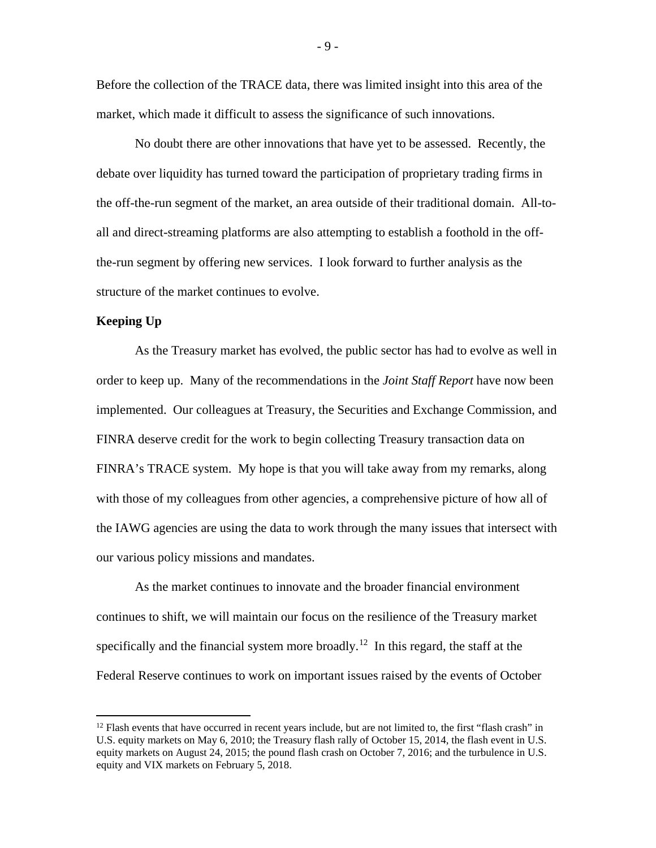Before the collection of the TRACE data, there was limited insight into this area of the market, which made it difficult to assess the significance of such innovations.

No doubt there are other innovations that have yet to be assessed. Recently, the debate over liquidity has turned toward the participation of proprietary trading firms in the off-the-run segment of the market, an area outside of their traditional domain. All-toall and direct-streaming platforms are also attempting to establish a foothold in the offthe-run segment by offering new services. I look forward to further analysis as the structure of the market continues to evolve.

#### **Keeping Up**

As the Treasury market has evolved, the public sector has had to evolve as well in order to keep up. Many of the recommendations in the *Joint Staff Report* have now been implemented. Our colleagues at Treasury, the Securities and Exchange Commission, and FINRA deserve credit for the work to begin collecting Treasury transaction data on FINRA's TRACE system. My hope is that you will take away from my remarks, along with those of my colleagues from other agencies, a comprehensive picture of how all of the IAWG agencies are using the data to work through the many issues that intersect with our various policy missions and mandates.

As the market continues to innovate and the broader financial environment continues to shift, we will maintain our focus on the resilience of the Treasury market specifically and the financial system more broadly.<sup>[12](#page-9-0)</sup> In this regard, the staff at the Federal Reserve continues to work on important issues raised by the events of October

- 9 -

<span id="page-9-0"></span> $12$  Flash events that have occurred in recent years include, but are not limited to, the first "flash crash" in U.S. equity markets on May 6, 2010; the Treasury flash rally of October 15, 2014, the flash event in U.S. equity markets on August 24, 2015; the pound flash crash on October 7, 2016; and the turbulence in U.S. equity and VIX markets on February 5, 2018.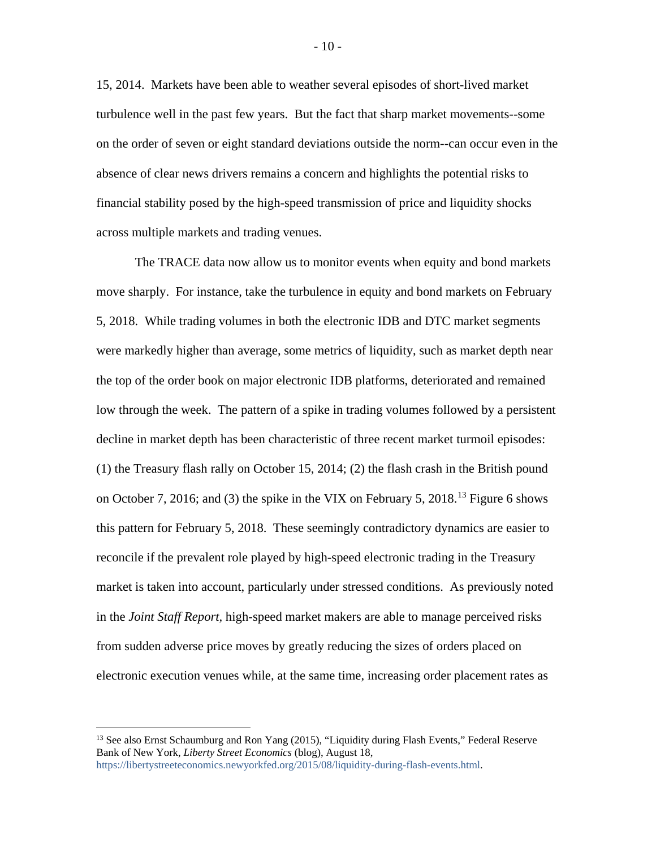15, 2014. Markets have been able to weather several episodes of short-lived market turbulence well in the past few years. But the fact that sharp market movements--some on the order of seven or eight standard deviations outside the norm--can occur even in the absence of clear news drivers remains a concern and highlights the potential risks to financial stability posed by the high-speed transmission of price and liquidity shocks across multiple markets and trading venues.

The TRACE data now allow us to monitor events when equity and bond markets move sharply. For instance, take the turbulence in equity and bond markets on February 5, 2018. While trading volumes in both the electronic IDB and DTC market segments were markedly higher than average, some metrics of liquidity, such as market depth near the top of the order book on major electronic IDB platforms, deteriorated and remained low through the week. The pattern of a spike in trading volumes followed by a persistent decline in market depth has been characteristic of three recent market turmoil episodes: (1) the Treasury flash rally on October 15, 2014; (2) the flash crash in the British pound on October 7, 2016; and (3) the spike in the VIX on February 5, 2018.<sup>[13](#page-10-0)</sup> Figure 6 shows this pattern for February 5, 2018. These seemingly contradictory dynamics are easier to reconcile if the prevalent role played by high-speed electronic trading in the Treasury market is taken into account, particularly under stressed conditions. As previously noted in the *Joint Staff Report,* high-speed market makers are able to manage perceived risks from sudden adverse price moves by greatly reducing the sizes of orders placed on electronic execution venues while, at the same time, increasing order placement rates as

<span id="page-10-0"></span><sup>&</sup>lt;sup>13</sup> See also Ernst Schaumburg and Ron Yang (2015), "Liquidity during Flash Events," Federal Reserve Bank of New York, *Liberty Street Economics* (blog), August 18, [https://libertystreeteconomics.newyorkfed.org/2015/08/liquidity-during-flash-events.html.](https://libertystreeteconomics.newyorkfed.org/2015/08/liquidity-during-flash-events.html)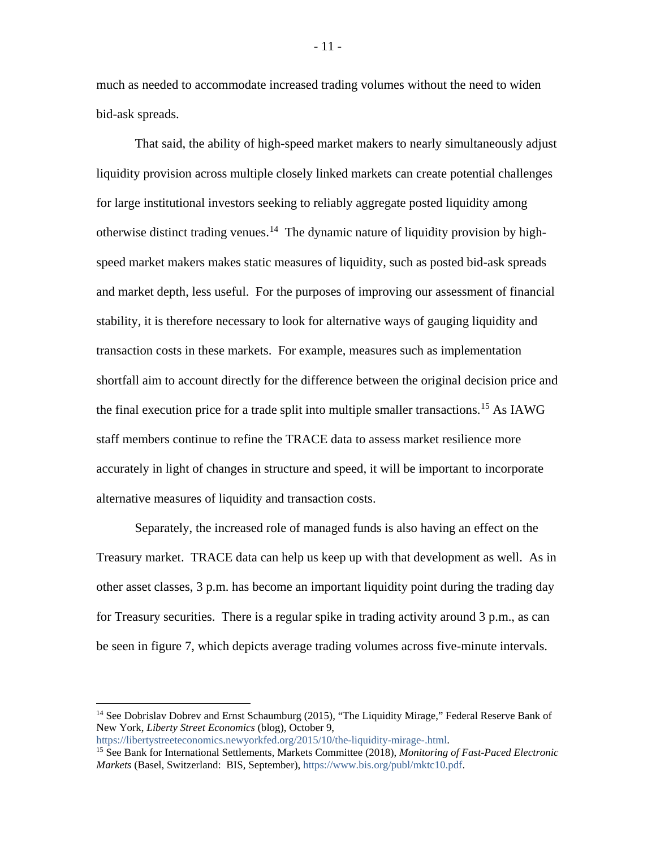much as needed to accommodate increased trading volumes without the need to widen bid-ask spreads.

That said, the ability of high-speed market makers to nearly simultaneously adjust liquidity provision across multiple closely linked markets can create potential challenges for large institutional investors seeking to reliably aggregate posted liquidity among otherwise distinct trading venues.<sup>[14](#page-11-0)</sup> The dynamic nature of liquidity provision by highspeed market makers makes static measures of liquidity, such as posted bid-ask spreads and market depth, less useful. For the purposes of improving our assessment of financial stability, it is therefore necessary to look for alternative ways of gauging liquidity and transaction costs in these markets. For example, measures such as implementation shortfall aim to account directly for the difference between the original decision price and the final execution price for a trade split into multiple smaller transactions.<sup>[15](#page-11-1)</sup> As IAWG staff members continue to refine the TRACE data to assess market resilience more accurately in light of changes in structure and speed, it will be important to incorporate alternative measures of liquidity and transaction costs.

Separately, the increased role of managed funds is also having an effect on the Treasury market. TRACE data can help us keep up with that development as well. As in other asset classes, 3 p.m. has become an important liquidity point during the trading day for Treasury securities. There is a regular spike in trading activity around 3 p.m., as can be seen in figure 7, which depicts average trading volumes across five-minute intervals.

<span id="page-11-0"></span><sup>&</sup>lt;sup>14</sup> See Dobrislav Dobrev and Ernst Schaumburg (2015), "The Liquidity Mirage," Federal Reserve Bank of New York, *Liberty Street Economics* (blog), October 9,

[https://libertystreeteconomics.newyorkfed.org/2015/10/the-liquidity-mirage-.html.](https://libertystreeteconomics.newyorkfed.org/2015/10/the-liquidity-mirage-.html)

<span id="page-11-1"></span><sup>15</sup> See Bank for International Settlements, Markets Committee (2018), *Monitoring of Fast-Paced Electronic Markets* (Basel, Switzerland: BIS, September), [https://www.bis.org/publ/mktc10.pdf.](https://www.bis.org/publ/mktc10.pdf)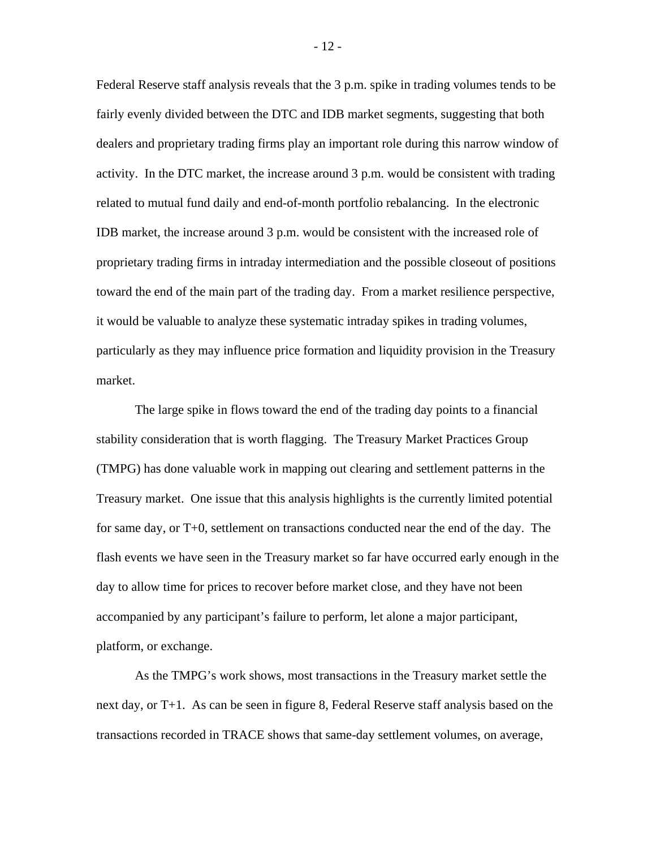Federal Reserve staff analysis reveals that the 3 p.m. spike in trading volumes tends to be fairly evenly divided between the DTC and IDB market segments, suggesting that both dealers and proprietary trading firms play an important role during this narrow window of activity. In the DTC market, the increase around 3 p.m. would be consistent with trading related to mutual fund daily and end-of-month portfolio rebalancing. In the electronic IDB market, the increase around 3 p.m. would be consistent with the increased role of proprietary trading firms in intraday intermediation and the possible closeout of positions toward the end of the main part of the trading day. From a market resilience perspective, it would be valuable to analyze these systematic intraday spikes in trading volumes, particularly as they may influence price formation and liquidity provision in the Treasury market.

The large spike in flows toward the end of the trading day points to a financial stability consideration that is worth flagging. The Treasury Market Practices Group (TMPG) has done valuable work in mapping out clearing and settlement patterns in the Treasury market. One issue that this analysis highlights is the currently limited potential for same day, or T+0, settlement on transactions conducted near the end of the day. The flash events we have seen in the Treasury market so far have occurred early enough in the day to allow time for prices to recover before market close, and they have not been accompanied by any participant's failure to perform, let alone a major participant, platform, or exchange.

As the TMPG's work shows, most transactions in the Treasury market settle the next day, or T+1. As can be seen in figure 8, Federal Reserve staff analysis based on the transactions recorded in TRACE shows that same-day settlement volumes, on average,

- 12 -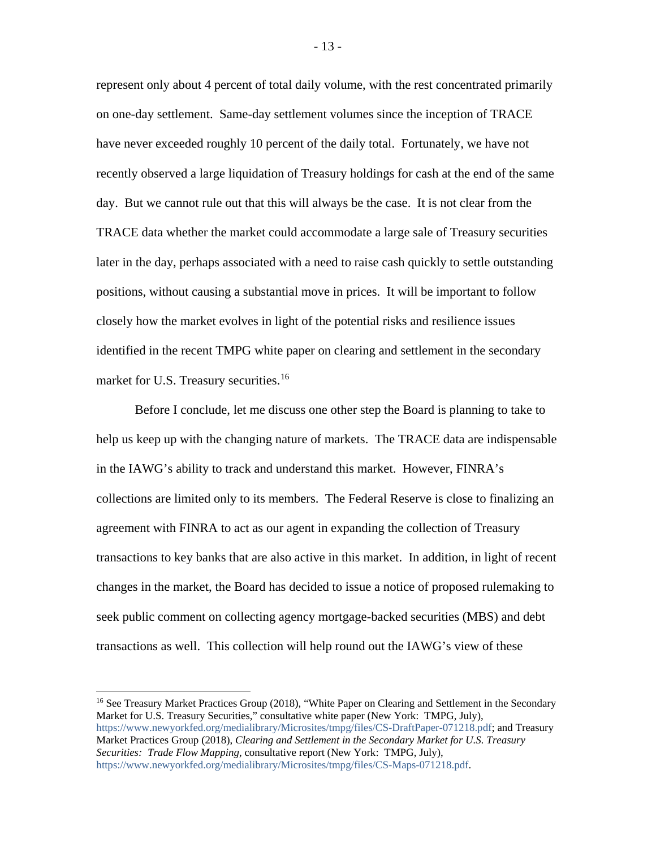represent only about 4 percent of total daily volume, with the rest concentrated primarily on one-day settlement. Same-day settlement volumes since the inception of TRACE have never exceeded roughly 10 percent of the daily total. Fortunately, we have not recently observed a large liquidation of Treasury holdings for cash at the end of the same day. But we cannot rule out that this will always be the case. It is not clear from the TRACE data whether the market could accommodate a large sale of Treasury securities later in the day, perhaps associated with a need to raise cash quickly to settle outstanding positions, without causing a substantial move in prices. It will be important to follow closely how the market evolves in light of the potential risks and resilience issues identified in the recent TMPG white paper on clearing and settlement in the secondary market for U.S. Treasury securities.<sup>[16](#page-13-0)</sup>

Before I conclude, let me discuss one other step the Board is planning to take to help us keep up with the changing nature of markets. The TRACE data are indispensable in the IAWG's ability to track and understand this market. However, FINRA's collections are limited only to its members. The Federal Reserve is close to finalizing an agreement with FINRA to act as our agent in expanding the collection of Treasury transactions to key banks that are also active in this market. In addition, in light of recent changes in the market, the Board has decided to issue a notice of proposed rulemaking to seek public comment on collecting agency mortgage-backed securities (MBS) and debt transactions as well. This collection will help round out the IAWG's view of these

- 13 -

<span id="page-13-0"></span><sup>&</sup>lt;sup>16</sup> See Treasury Market Practices Group (2018), "White Paper on Clearing and Settlement in the Secondary Market for U.S. Treasury Securities," consultative white paper (New York: TMPG, July), [https://www.newyorkfed.org/medialibrary/Microsites/tmpg/files/CS-DraftPaper-071218.pdf;](https://www.newyorkfed.org/medialibrary/Microsites/tmpg/files/CS-DraftPaper-071218.pdf) and Treasury Market Practices Group (2018), *[Clearing and Settlement in the Secondary Market for U.S. Treasury](https://www.newyorkfed.org/medialibrary/Microsites/tmpg/files/CS-Maps-071218.pdf)  [Securities: Trade Flow Mapping,](https://www.newyorkfed.org/medialibrary/Microsites/tmpg/files/CS-Maps-071218.pdf)* consultative report (New York: TMPG, July), [https://www.newyorkfed.org/medialibrary/Microsites/tmpg/files/CS-Maps-071218.pdf.](https://www.newyorkfed.org/medialibrary/Microsites/tmpg/files/CS-Maps-071218.pdf)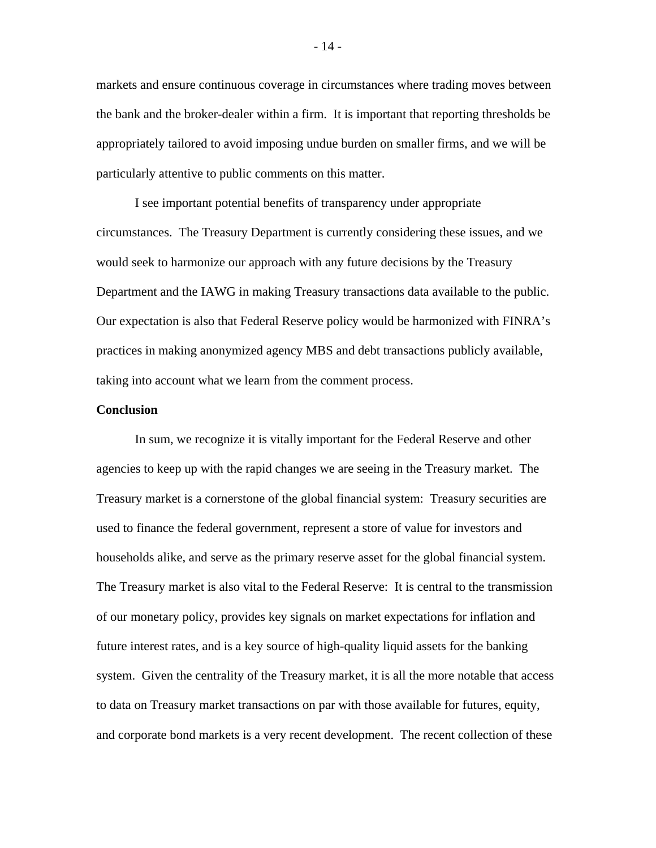markets and ensure continuous coverage in circumstances where trading moves between the bank and the broker-dealer within a firm. It is important that reporting thresholds be appropriately tailored to avoid imposing undue burden on smaller firms, and we will be particularly attentive to public comments on this matter.

I see important potential benefits of transparency under appropriate circumstances. The Treasury Department is currently considering these issues, and we would seek to harmonize our approach with any future decisions by the Treasury Department and the IAWG in making Treasury transactions data available to the public. Our expectation is also that Federal Reserve policy would be harmonized with FINRA's practices in making anonymized agency MBS and debt transactions publicly available, taking into account what we learn from the comment process.

#### **Conclusion**

In sum, we recognize it is vitally important for the Federal Reserve and other agencies to keep up with the rapid changes we are seeing in the Treasury market. The Treasury market is a cornerstone of the global financial system: Treasury securities are used to finance the federal government, represent a store of value for investors and households alike, and serve as the primary reserve asset for the global financial system. The Treasury market is also vital to the Federal Reserve: It is central to the transmission of our monetary policy, provides key signals on market expectations for inflation and future interest rates, and is a key source of high-quality liquid assets for the banking system. Given the centrality of the Treasury market, it is all the more notable that access to data on Treasury market transactions on par with those available for futures, equity, and corporate bond markets is a very recent development. The recent collection of these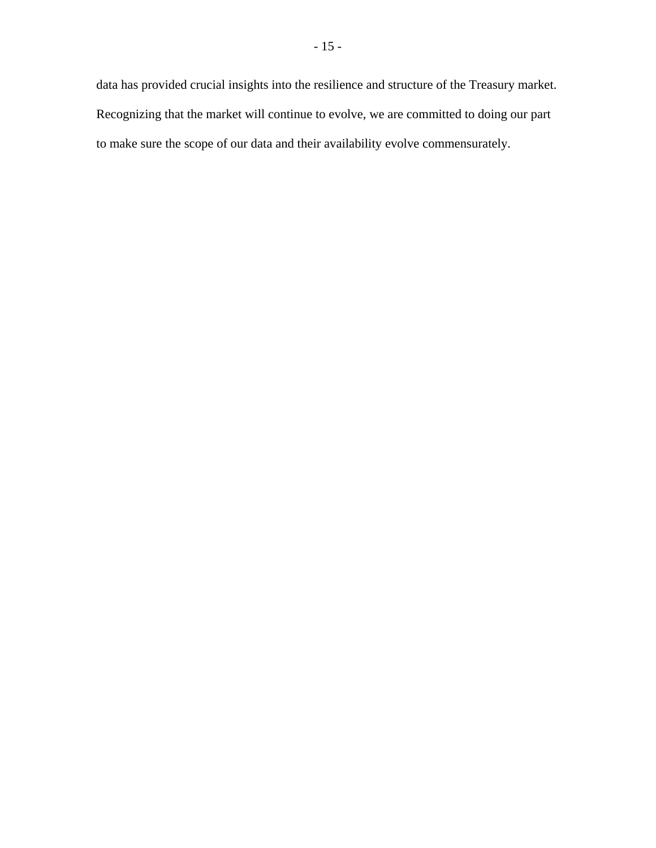data has provided crucial insights into the resilience and structure of the Treasury market. Recognizing that the market will continue to evolve, we are committed to doing our part to make sure the scope of our data and their availability evolve commensurately.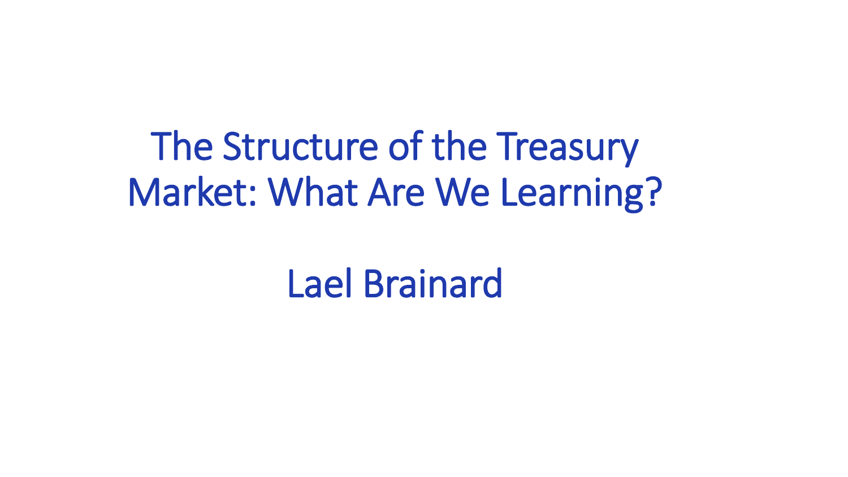# The Structure of the Treasury Market: What Are We Learning?

# Lael Brainard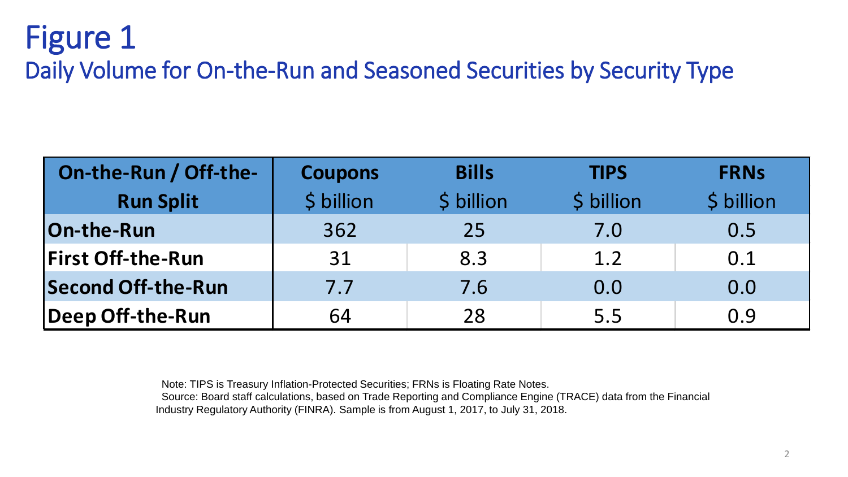### Figure 1 Daily Volume for On-the-Run and Seasoned Securities by Security Type

| On-the-Run / Off-the-     | <b>Coupons</b> | <b>Bills</b> | <b>TIPS</b> | <b>FRNs</b> |
|---------------------------|----------------|--------------|-------------|-------------|
| <b>Run Split</b>          | \$ billion     | \$ billion   | \$ billion  | \$ billion  |
| On-the-Run                | 362            | 25           | 7.0         | 0.5         |
| <b>First Off-the-Run</b>  | 31             | 8.3          | 1.2         | 0.1         |
| <b>Second Off-the-Run</b> | 7.7            | 7.6          | 0.0         | 0.0         |
| Deep Off-the-Run          | 64             | 28           | 5.5         | 0.9         |

Note: TIPS is Treasury Inflation-Protected Securities; FRNs is Floating Rate Notes.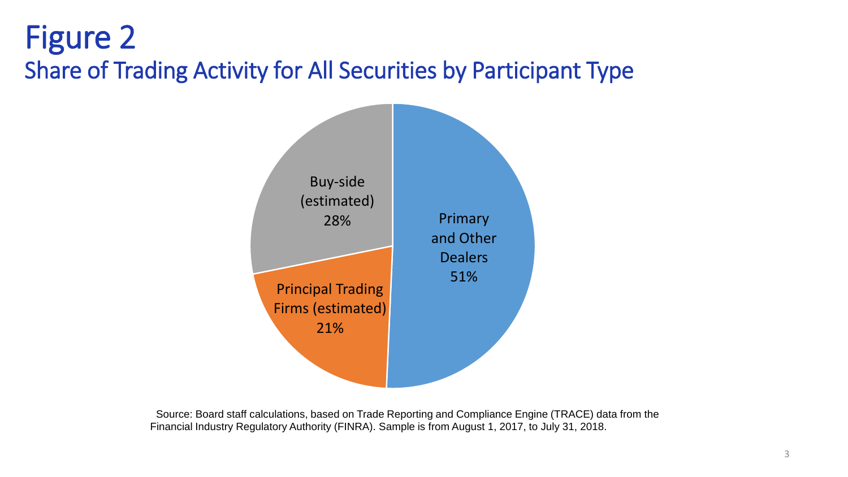### Figure 2 Share of Trading Activity for All Securities by Participant Type

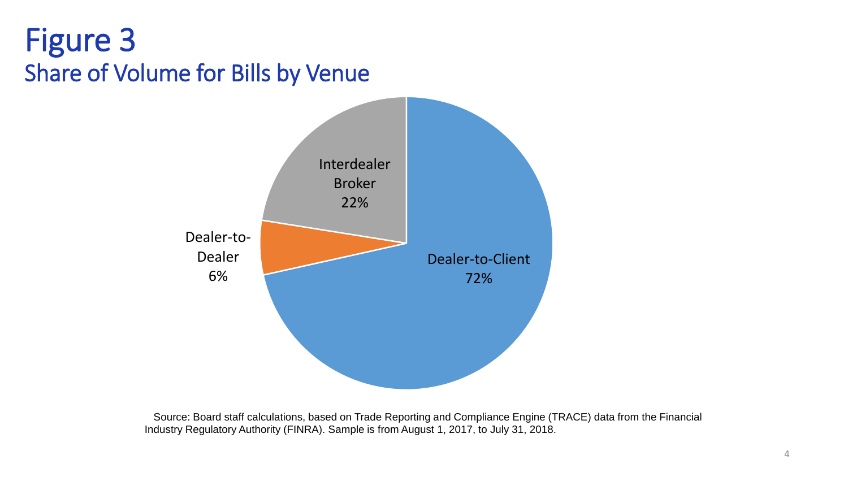### Figure 3 Share of Volume for Bills by Venue

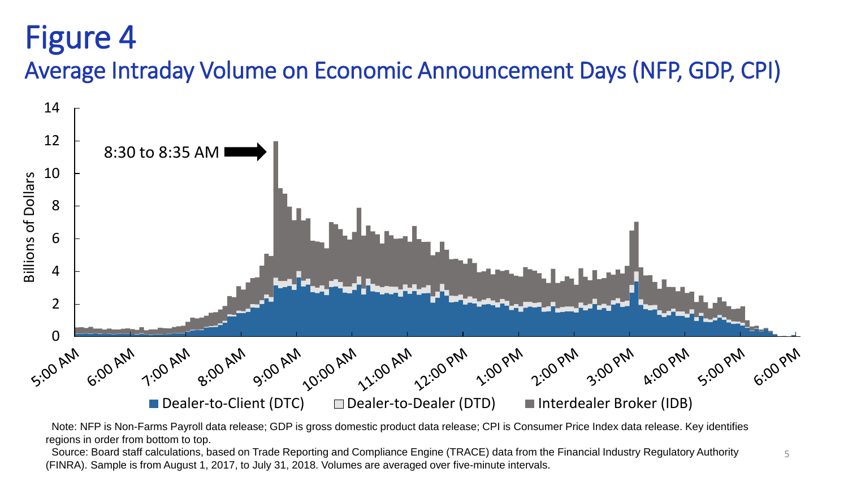## Figure 4

Average Intraday Volume on Economic Announcement Days (NFP, GDP, CPI)



Note: NFP is Non-Farms Payroll data release; GDP is gross domestic product data release; CPI is Consumer Price Index data release. Key identifies regions in order from bottom to top.

5 Source: Board staff calculations, based on Trade Reporting and Compliance Engine (TRACE) data from the Financial Industry Regulatory Authority (FINRA). Sample is from August 1, 2017, to July 31, 2018. Volumes are averaged over five-minute intervals.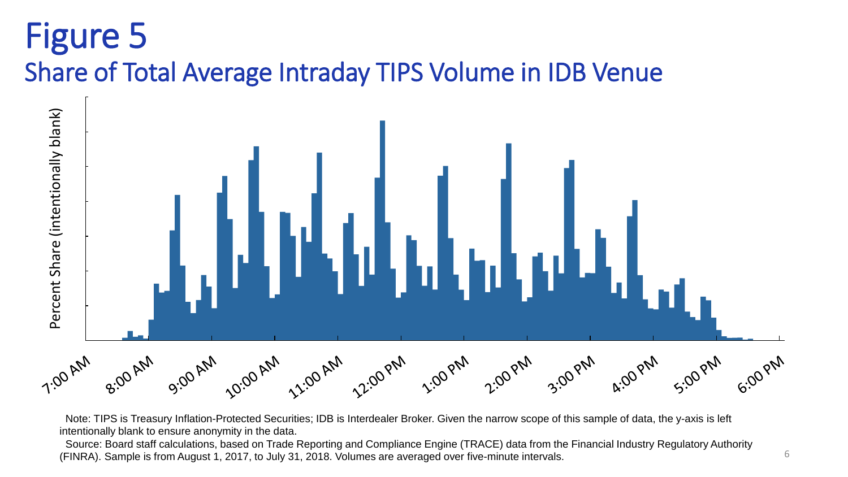## Figure 5 Share of Total Average Intraday TIPS Volume in IDB Venue



Note: TIPS is Treasury Inflation-Protected Securities; IDB is Interdealer Broker. Given the narrow scope of this sample of data, the y-axis is left intentionally blank to ensure anonymity in the data.

Source: Board staff calculations, based on Trade Reporting and Compliance Engine (TRACE) data from the Financial Industry Regulatory Authority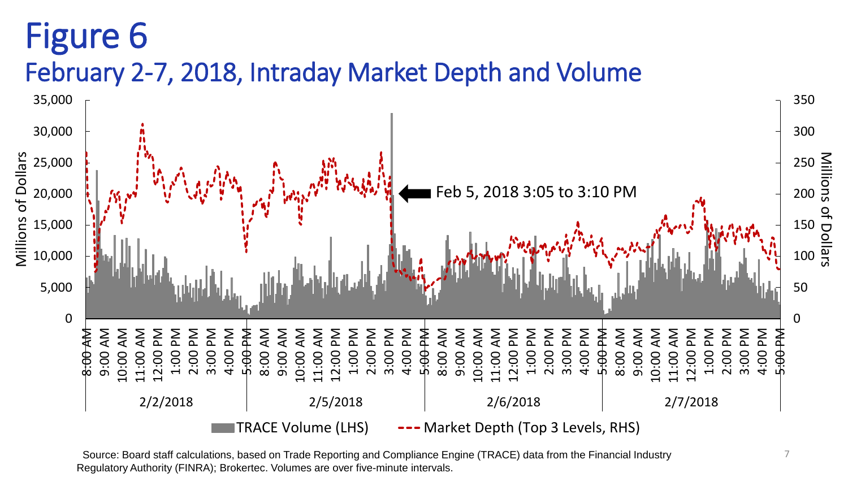## Figure 6

#### February 2-7, 2018, Intraday Market Depth and Volume



Source: Board staff calculations, based on Trade Reporting and Compliance Engine (TRACE) data from the Financial Industry Regulatory Authority (FINRA); Brokertec. Volumes are over five-minute intervals.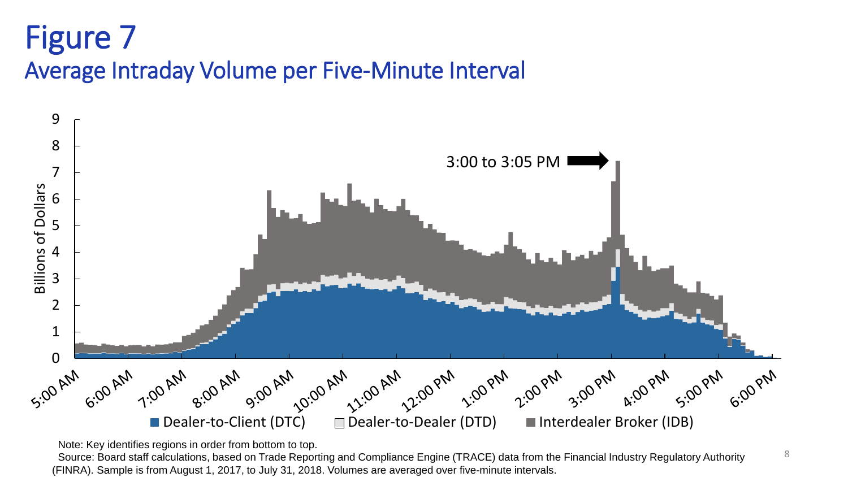### Figure 7 Average Intraday Volume per Five-Minute Interval



Note: Key identifies regions in order from bottom to top.

Source: Board staff calculations, based on Trade Reporting and Compliance Engine (TRACE) data from the Financial Industry Regulatory Authority (FINRA). Sample is from August 1, 2017, to July 31, 2018. Volumes are averaged over five-minute intervals.

8